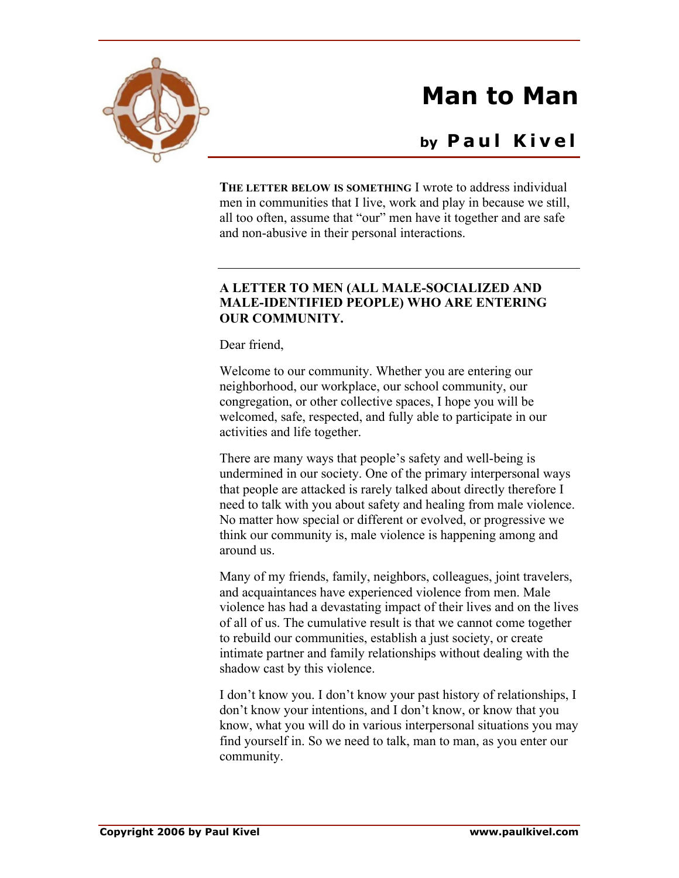

## **Man to Man**

## **by P a u l K i v e l**

**THE LETTER BELOW IS SOMETHING** I wrote to address individual men in communities that I live, work and play in because we still, all too often, assume that "our" men have it together and are safe and non-abusive in their personal interactions.

## **A LETTER TO MEN (ALL MALE-SOCIALIZED AND MALE-IDENTIFIED PEOPLE) WHO ARE ENTERING OUR COMMUNITY.**

Dear friend,

Welcome to our community. Whether you are entering our neighborhood, our workplace, our school community, our congregation, or other collective spaces, I hope you will be welcomed, safe, respected, and fully able to participate in our activities and life together.

There are many ways that people's safety and well-being is undermined in our society. One of the primary interpersonal ways that people are attacked is rarely talked about directly therefore I need to talk with you about safety and healing from male violence. No matter how special or different or evolved, or progressive we think our community is, male violence is happening among and around us.

Many of my friends, family, neighbors, colleagues, joint travelers, and acquaintances have experienced violence from men. Male violence has had a devastating impact of their lives and on the lives of all of us. The cumulative result is that we cannot come together to rebuild our communities, establish a just society, or create intimate partner and family relationships without dealing with the shadow cast by this violence.

I don't know you. I don't know your past history of relationships, I don't know your intentions, and I don't know, or know that you know, what you will do in various interpersonal situations you may find yourself in. So we need to talk, man to man, as you enter our community.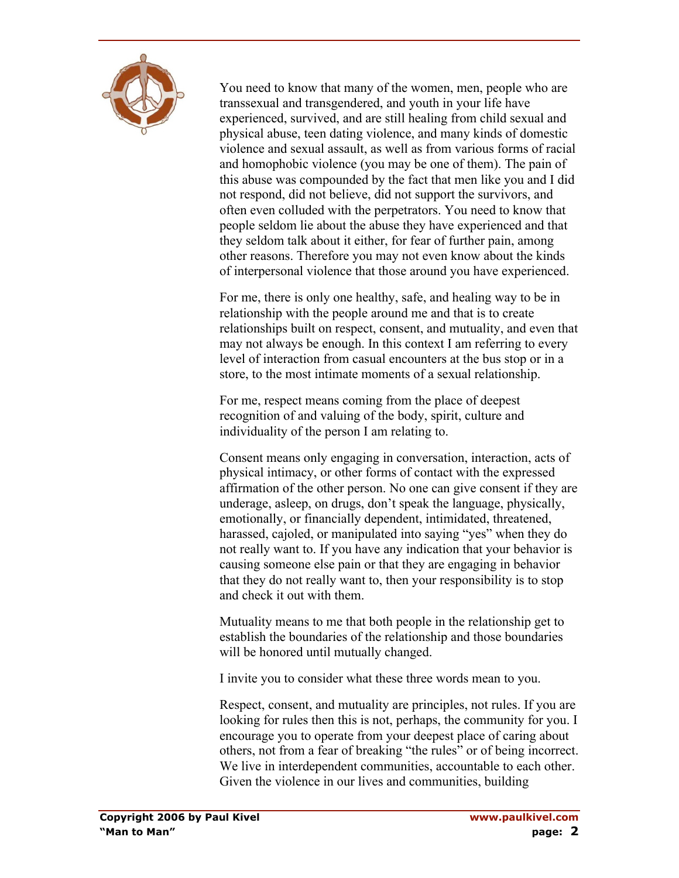

You need to know that many of the women, men, people who are transsexual and transgendered, and youth in your life have experienced, survived, and are still healing from child sexual and physical abuse, teen dating violence, and many kinds of domestic violence and sexual assault, as well as from various forms of racial and homophobic violence (you may be one of them). The pain of this abuse was compounded by the fact that men like you and I did not respond, did not believe, did not support the survivors, and often even colluded with the perpetrators. You need to know that people seldom lie about the abuse they have experienced and that they seldom talk about it either, for fear of further pain, among other reasons. Therefore you may not even know about the kinds of interpersonal violence that those around you have experienced.

For me, there is only one healthy, safe, and healing way to be in relationship with the people around me and that is to create relationships built on respect, consent, and mutuality, and even that may not always be enough. In this context I am referring to every level of interaction from casual encounters at the bus stop or in a store, to the most intimate moments of a sexual relationship.

For me, respect means coming from the place of deepest recognition of and valuing of the body, spirit, culture and individuality of the person I am relating to.

Consent means only engaging in conversation, interaction, acts of physical intimacy, or other forms of contact with the expressed affirmation of the other person. No one can give consent if they are underage, asleep, on drugs, don't speak the language, physically, emotionally, or financially dependent, intimidated, threatened, harassed, cajoled, or manipulated into saying "yes" when they do not really want to. If you have any indication that your behavior is causing someone else pain or that they are engaging in behavior that they do not really want to, then your responsibility is to stop and check it out with them.

Mutuality means to me that both people in the relationship get to establish the boundaries of the relationship and those boundaries will be honored until mutually changed.

I invite you to consider what these three words mean to you.

Respect, consent, and mutuality are principles, not rules. If you are looking for rules then this is not, perhaps, the community for you. I encourage you to operate from your deepest place of caring about others, not from a fear of breaking "the rules" or of being incorrect. We live in interdependent communities, accountable to each other. Given the violence in our lives and communities, building